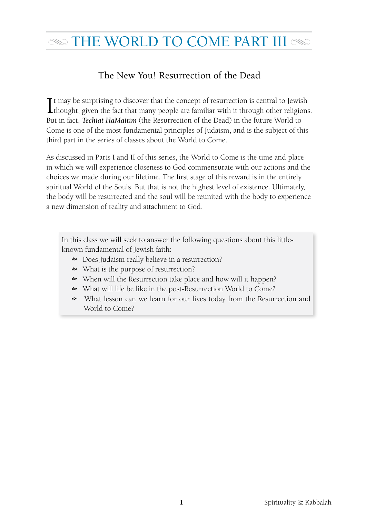# $\infty$  THE WORLD TO COME PART III  $\infty$

### The New You! Resurrection of the Dead

It may be surprising to discover that the concept of resurrection is central to Jewish<br>thought, given the fact that many people are familiar with it through other religions **L** thought, given the fact that many people are familiar with it through other religions. But in fact, *Techiat HaMaitim* (the Resurrection of the Dead) in the future World to Come is one of the most fundamental principles of Judaism, and is the subject of this third part in the series of classes about the World to Come.

As discussed in Parts I and II of this series, the World to Come is the time and place in which we will experience closeness to God commensurate with our actions and the choices we made during our lifetime. The first stage of this reward is in the entirely spiritual World of the Souls. But that is not the highest level of existence. Ultimately, the body will be resurrected and the soul will be reunited with the body to experience a new dimension of reality and attachment to God.

In this class we will seek to answer the following questions about this littleknown fundamental of Jewish faith:

- Does Judaism really believe in a resurrection?
- What is the purpose of resurrection?
- When will the Resurrection take place and how will it happen?
- What will life be like in the post-Resurrection World to Come?
- What lesson can we learn for our lives today from the Resurrection and World to Come?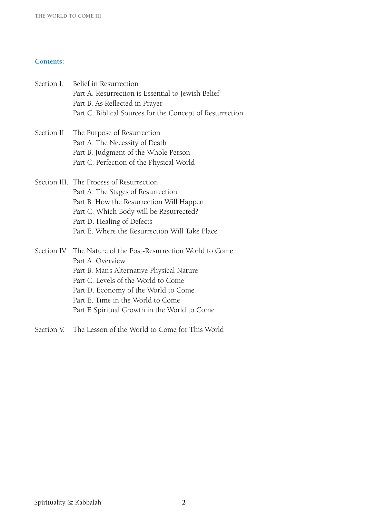#### **Contents:**

| Section I. Belief in Resurrection<br>Part A. Resurrection is Essential to Jewish Belief<br>Part B. As Reflected in Prayer<br>Part C. Biblical Sources for the Concept of Resurrection                                                                                                               |
|-----------------------------------------------------------------------------------------------------------------------------------------------------------------------------------------------------------------------------------------------------------------------------------------------------|
| Section II. The Purpose of Resurrection<br>Part A. The Necessity of Death<br>Part B. Judgment of the Whole Person<br>Part C. Perfection of the Physical World                                                                                                                                       |
| Section III. The Process of Resurrection<br>Part A. The Stages of Resurrection<br>Part B. How the Resurrection Will Happen<br>Part C. Which Body will be Resurrected?<br>Part D. Healing of Defects<br>Part E. Where the Resurrection Will Take Place                                               |
| Section IV. The Nature of the Post-Resurrection World to Come<br>Part A. Overview<br>Part B. Man's Alternative Physical Nature<br>Part C. Levels of the World to Come<br>Part D. Economy of the World to Come<br>Part E. Time in the World to Come<br>Part F. Spiritual Growth in the World to Come |

Section V. The Lesson of the World to Come for This World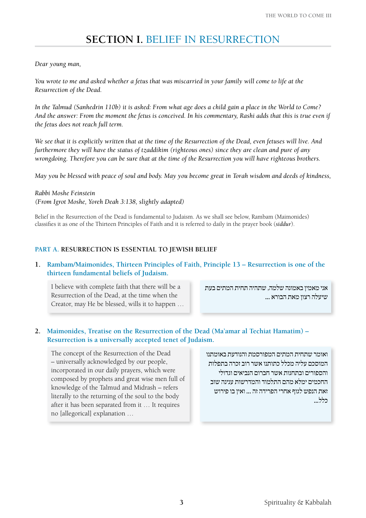## **Section I.** Belief in Resurrection

#### *Dear young man,*

*You wrote to me and asked whether a fetus that was miscarried in your family will come to life at the Resurrection of the Dead.* 

*In the Talmud (Sanhedrin 110b) it is asked: From what age does a child gain a place in the World to Come? And the answer: From the moment the fetus is conceived. In his commentary, Rashi adds that this is true even if the fetus does not reach full term.*

*We see that it is explicitly written that at the time of the Resurrection of the Dead, even fetuses will live. And furthermore they will have the status of tzaddikim (righteous ones) since they are clean and pure of any wrongdoing. Therefore you can be sure that at the time of the Resurrection you will have righteous brothers.*

*May you be blessed with peace of soul and body. May you become great in Torah wisdom and deeds of kindness,* 

*Rabbi Moshe Feinstein (From Igrot Moshe, Yoreh Deah 3:138, slightly adapted)*

Belief in the Resurrection of the Dead is fundamental to Judaism. As we shall see below, Rambam (Maimonides) classifies it as one of the Thirteen Principles of Faith and it is referred to daily in the prayer book (*siddur*).

#### **Part A. Resurrection is Essential to Jewish Belief**

**1. Rambam/Maimonides, Thirteen Principles of Faith, Principle 13 – Resurrection is one of the thirteen fundamental beliefs of Judaism.**

I believe with complete faith that there will be a Resurrection of the Dead, at the time when the Creator, may He be blessed, wills it to happen … אני מאמין באמונה שלמה, שתהיה תחית המתים בעת שיעלה רצון מאת הבורא ...

#### **2. Maimonides, Treatise on the Resurrection of the Dead (Ma'amar al Techiat Hamatim) – Resurrection is a universally accepted tenet of Judaism.**

The concept of the Resurrection of the Dead – universally acknowledged by our people, incorporated in our daily prayers, which were composed by prophets and great wise men full of knowledge of the Talmud and Midrash – refers literally to the returning of the soul to the body after it has been separated from it … It requires no [allegorical] explanation …

ואומר שתחית המתים המפורסמת והנודעת באומתנו המוסכם עליה מכלל כתותנו אשר רוב זכרה בתפלות והספורים ובתחנות אשר חברום הנביאים וגדולי החכמים ימלא מהם התלמוד והמדרשות ענינה שוב זאת הנפש לגוף אחרי הפרידה זה ... ואין בו פירוש כלל...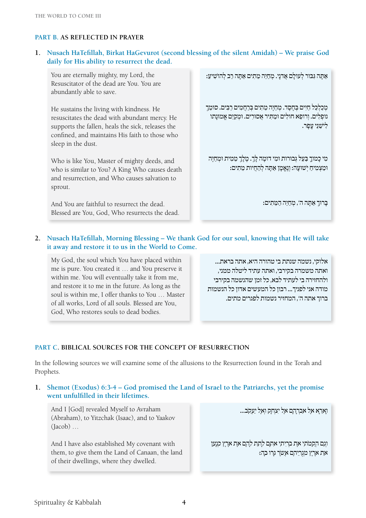#### **Part B. As Reflected in Prayer**

#### **1. Nusach HaTefillah, Birkat HaGevurot (second blessing of the silent Amidah) – We praise God daily for His ability to resurrect the dead.**

You are eternally mighty, my Lord, the Resuscitator of the dead are You. You are abundantly able to save.

He sustains the living with kindness. He resuscitates the dead with abundant mercy. He supports the fallen, heals the sick, releases the confined, and maintains His faith to those who sleep in the dust.

Who is like You, Master of mighty deeds, and who is similar to You? A King Who causes death and resurrection, and Who causes salvation to sprout.

And You are faithful to resurrect the dead. Blessed are You, God, Who resurrects the dead. אִתָּה גִּבּוּר לְעולִם אַדנִי. מֶחַיֶּה מֵתִים אַתְּה רִב לְהוֹשִׁיעָ:

מְכַלְכֵּל חִיים בְּחֵסֶד. מִחְיֶה מֵתִים בְּרחִמִים רִבִּים. סוִמֶּךָ נופְלִים. וְרופֵא חולִים וּמֵתִּיר אֵסוּרִים. וּמְקַיֵּם אֱמוּנַתו לישני עפר.

כִּוֹ כָמוֹךָ בַּעַל גְבוּרות וּמִי דומֶה לַּךָ. מֵלֵךְ מֵמִית וּמִחַיֵּה וּמַצְמִיחַ יִשׁוּעַה: וְנֵאֱמַן אַתָּה לְהַחֲיות מֵתִים:

בָּ רוּ ךְ אַ תָּ ה ה', מְ חַ יֵּ ה הַ מֵּ תִ ים:

#### **2. Nusach HaTefillah, Morning Blessing – We thank God for our soul, knowing that He will take it away and restore it to us in the World to Come.**

My God, the soul which You have placed within me is pure. You created it … and You preserve it within me. You will eventually take it from me, and restore it to me in the future. As long as the soul is within me, I offer thanks to You … Master of all works, Lord of all souls. Blessed are You, God, Who restores souls to dead bodies.

אלוקי, נשמה שנתת בי טהורה היא, אתה בראת... ואתה משמרה בקירבי, ואתה עתיד ליטלה ממני, ולהחזירה בי לעתיד לבא, כל זמן שהנשמה בקירבי מודה אני לפניך... רבון כל המעשים אדון כל הנשמות ברוך אתה ה', המחזיר נשמות לפגרים מתים.

#### **Part C. Biblical Sources for the Concept of Resurrection**

In the following sources we will examine some of the allusions to the Resurrection found in the Torah and Prophets.

**1. Shemot (Exodus) 6:3-4 – God promised the Land of Israel to the Patriarchs, yet the promise went unfulfilled in their lifetimes.**

And I [God] revealed Myself to Avraham (Abraham), to Yitzchak (Isaac), and to Yaakov (Jacob) …

And I have also established My covenant with them, to give them the Land of Canaan, the land of their dwellings, where they dwelled.

וָאֵרָא אֶל אַבְרָהָם אֶליִצְחָק וְאֶליַעֲקֹב...

וְגַם הֲקִמֹתִי אֶת בְּרִיתִי אִתָּם לָתֵת לָהֶם אֶת אֶרֶץ כְּנָעַן אֵת אֶרֶץ מְגֻרֵיהֶם אֲשֶׁרגָּרו ּבָהּ: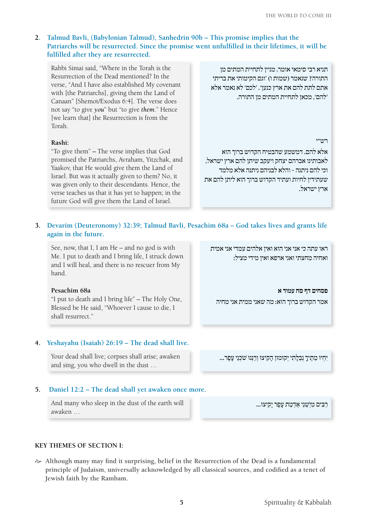#### **2. Talmud Bavli, (Babylonian Talmud), Sanhedrin 90b – This promise implies that the Patriarchs will be resurrected. Since the promise went unfulfilled in their lifetimes, it will be fulfilled after they are resurrected.**

Rabbi Simai said, "Where in the Torah is the Resurrection of the Dead mentioned? In the verse, "And I have also established My covenant with [the Patriarchs], giving them the Land of Canaan" [Shemot/Exodus 6:4]. The verse does not say "to give *you*" but "to give *them*." Hence [we learn that] the Resurrection is from the Torah.

#### **Rashi:**

"To give them" *–* The verse implies that God promised the Patriarchs, Avraham, Yitzchak, and Yaakov, that He would give them the Land of Israel. But was it actually given to them? No, it was given only to their descendants. Hence, the verse teaches us that it has yet to happen; in the future God will give them the Land of Israel.

תניא רבי סימאי אומר, מניין לתחיית המתים מן התורה? שנאמר )שמות ו( 'וגם הקימותי את בריתי אתם לתת להם את ארץ כנען'. 'לכם' לא נאמר אלא 'להם', מכאן לתחיית המתים מן התורה.

#### רש"י

אלא להם. דמשמע שהבטיח הקדוש ברוך הוא לאבותינו אברהם יצחק ויעקב שיתן להם ארץ ישראל, וכי להם ניתנה - והלא לבניהם ניתנה אלא מלמד שעתידין לחיות ועתיד הקדוש ברוך הוא ליתן להם את ארץ ישראל.

#### **3. Devarim (Deuteronomy) 32:39; Talmud Bavli, Pesachim 68a – God takes lives and grants life again in the future.**

See, now, that I, I am He – and no god is with Me. I put to death and I bring life, I struck down and I will heal, and there is no rescuer from My hand.

#### **Pesachim 68a**

"I put to death and I bring life" – The Holy One, Blessed be He said, "Whoever I cause to die, I shall resurrect."

#### **4. Yeshayahu (Isaiah) 26:19 – The dead shall live.**

Your dead shall live; corpses shall arise; awaken and sing, you who dwell in the dust …

#### **5. Daniel 12:2 – The dead shall yet awaken once more.**

And many who sleep in the dust of the earth will awaken …

#### **Key Themes of Section I:**

 $\gg$  Although many may find it surprising, belief in the Resurrection of the Dead is a fundamental **principle of Judaism, universally acknowledged by all classical sources, and codified as a tenet of Jewish faith by the Rambam.** 

ראו עתה כי אני אני הוא ואין אלהים עמדי אני אמית ואחיה מחצתי ואני ארפא ואין מידי מציל:

**פסחים דף סח עמוד א**  אמר הקדוש ברוך הוא: מה שאני ממית אני מחיה

יִחְיוּ מֶתֵיךָ נְבֶלַתִי יִקוּמוּן הַקִיצוּ וְרַנְּנוּ שֹׁכְנֵי עָפַר...

... רִבִּים מִיְשֶׁנֵי אַדְמַת עָפְר יִקְיצוּ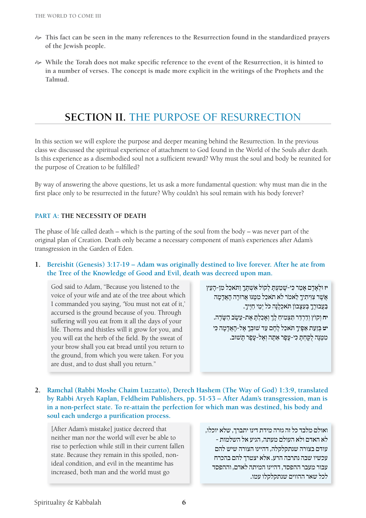- $\approx$  This fact can be seen in the many references to the Resurrection found in the standardized prayers **of the Jewish people.**
- $\gg$  While the Torah does not make specific reference to the event of the Resurrection, it is hinted to **in a number of verses. The concept is made more explicit in the writings of the Prophets and the Talmud.**

### **SECTION II. THE PURPOSE OF RESURRECTION**

In this section we will explore the purpose and deeper meaning behind the Resurrection. In the previous class we discussed the spiritual experience of attachment to God found in the World of the Souls after death. Is this experience as a disembodied soul not a sufficient reward? Why must the soul and body be reunited for the purpose of Creation to be fulfilled?

By way of answering the above questions, let us ask a more fundamental question: why must man die in the first place only to be resurrected in the future? Why couldn't his soul remain with his body forever?

#### **Part A: The Necessity of Death**

The phase of life called death – which is the parting of the soul from the body – was never part of the original plan of Creation. Death only became a necessary component of man's experiences after Adam's transgression in the Garden of Eden.

#### **1. Bereishit (Genesis) 3:17-19 – Adam was originally destined to live forever. After he ate from the Tree of the Knowledge of Good and Evil, death was decreed upon man.**

God said to Adam, "Because you listened to the voice of your wife and ate of the tree about which I commanded you saying, 'You must not eat of it,' accursed is the ground because of you. Through suffering will you eat from it all the days of your life. Thorns and thistles will it grow for you, and you will eat the herb of the field. By the sweat of your brow shall you eat bread until you return to the ground, from which you were taken. For you are dust, and to dust shall you return."

**יז** וּלְאָדִם אָמַר כִּי-שַׁמַעָּתְ לְקוֹל אָשֶׁתְּךָ וִתְּאָכְלְ מֵן-הַעָּץ אֲשֶׁר צְוִיתִיךָ לֵאמֹר לֹא תֹאכַל מִמֶּנּוּ אֲרוּרָה הַאֲדָמָה בַּעֲבוּרֶךָ בְּעָצָבוֹן תּאכְלְנַה כּל יְמֵי חַיֵּיךָ. יח וְקוֹץ וְדַרְדַּר תַּצְמִיחַ לַךְ וְאַכַלְתַּ אֶת-עֵשֶׂב הַשֶּׂדֶה. יט בּזַעַת אַפ<sup>ֶּ</sup>יךָ תִאכל לחם עד שוּבַך אַל-האַדמה כֵּי מִמֶּנָה לְקָחָתַּ כִּי-עָפָר אַתָּה וְאֵל-עַפָר תַּשׁוּב.

**2. Ramchal (Rabbi Moshe Chaim Luzzatto), Derech Hashem (The Way of God) 1:3:9, translated by Rabbi Aryeh Kaplan, Feldheim Publishers, pp. 51-53 – After Adam's transgression, man is in a non-perfect state. To re-attain the perfection for which man was destined, his body and soul each undergo a purification process.** 

[After Adam's mistake] justice decreed that neither man nor the world will ever be able to rise to perfection while still in their current fallen state. Because they remain in this spoiled, nonideal condition, and evil in the meantime has increased, both man and the world must go

ואולם מלבד כל זה גזרה מידת דינו יתברך, שלא יוכלו, לא האדם ולא העולם מעתה, הגיע אל השלמות - עודם בצורה שנתקלקלה, דהיינו הצורה שיש להם עכשיו שבה נתרבה הרע. אלא יצטרך להם בהכרח עבור מעבר ההפסד, דהיינו המיתה לאדם, וההפסד לכל שאר ההווים שנתקלקלו עמו.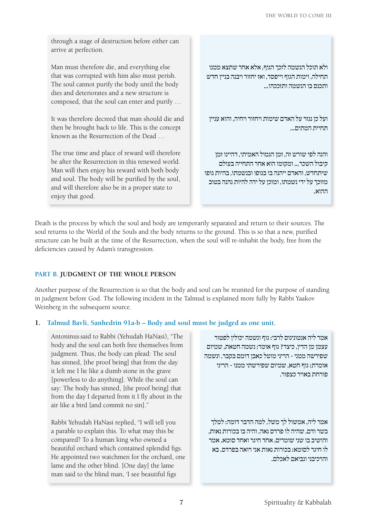through a stage of destruction before either can arrive at perfection.

Man must therefore die, and everything else that was corrupted with him also must perish. The soul cannot purify the body until the body dies and deteriorates and a new structure is composed, that the soul can enter and purify …

It was therefore decreed that man should die and then be brought back to life. This is the concept known as the Resurrection of the Dead …

The true time and place of reward will therefore be after the Resurrection in this renewed world. Man will then enjoy his reward with both body and soul. The body will be purified by the soul, and will therefore also be in a proper state to enjoy that good.

ולא תוכל הנשמה לזכך הגוף, אלא אחר שתצא ממנו תחילה, וימות הגוף וייפסד, ואז יחזור ויבנה בניין חדש ותכנס בו הנשמה ותזככהו...

ועל כן נגזר על האדם שימות ויחזור ויחיה, והוא עניין תחיית המתים...

והנה לפי שורש זה, זמן הגמול האמיתי, דהיינו זמן קיבול השכר... ומקומו הוא אחר התחייה בעולם שיתחדש, והאדם ייהנה בו בגופו ובנשמתו, בהיות גופו מזוכך על ידי נשמתו, ומוכן על ידה להיות נהנה בטוב ההוא.

Death is the process by which the soul and body are temporarily separated and return to their sources. The soul returns to the World of the Souls and the body returns to the ground. This is so that a new, purified structure can be built at the time of the Resurrection, when the soul will re-inhabit the body, free from the deficiencies caused by Adam's transgression.

#### **Part B. Judgment of the Whole Person**

Another purpose of the Resurrection is so that the body and soul can be reunited for the purpose of standing in judgment before God. The following incident in the Talmud is explained more fully by Rabbi Yaakov Weinberg in the subsequent source.

#### **1. Talmud Bavli, Sanhedrin 91a-b – Body and soul must be judged as one unit.**

Antoninussaid to Rabbi (Yehudah HaNasi), "The body and the soul can both free themselves from judgment. Thus, the body can plead: The soul has sinned, [the proof being] that from the day it left me I lie like a dumb stone in the grave [powerless to do anything]. While the soul can say: The body has sinned, [the proof being] that from the day I departed from it I fly about in the air like a bird [and commit no sin]."

Rabbi Yehudah HaNasi replied, "I will tell you a parable to explain this. To what may this be compared? To a human king who owned a beautiful orchard which contained splendid figs. He appointed two watchmen for the orchard, one lame and the other blind. [One day] the lame man said to the blind man, 'I see beautiful figs

אמר ליה אנטונינוס לרבי: גוף ונשמה יכולין לפטור עצמן מן הדין, כיצד? גוף אומר: נשמה חטאת, שמיום שפירשה ממני - הריני מוטל כאבן דומם בקבר. ונשמה אומרת: גוף חטא, שמיום שפירשתי ממנו - הריני פורחת באויר כצפור.

אמר ליה, אמשול לך משל, למה הדבר דומה: למלך בשר ודם, שהיה לו פרדס נאה, והיה בו בכורות נאות, והושיב בו שני שומרים, אחד חיגר ואחד סומא. אמר לו חיגר לסומא: בכורות נאות אני רואה בפרדס. בא והרכיבני ונביאם לאכלם.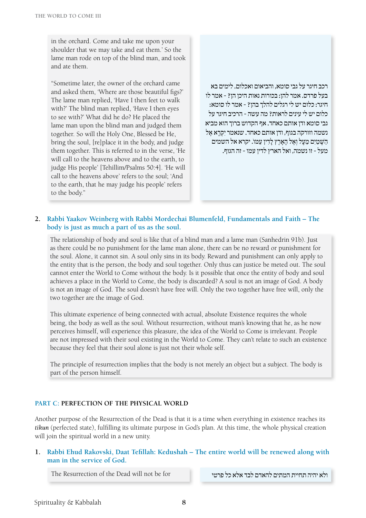in the orchard. Come and take me upon your shoulder that we may take and eat them.' So the lame man rode on top of the blind man, and took and ate them.

"Sometime later, the owner of the orchard came and asked them, 'Where are those beautiful figs?' The lame man replied, 'Have I then feet to walk with?' The blind man replied, 'Have I then eyes to see with?' What did he do? He placed the lame man upon the blind man and judged them together. So will the Holy One, Blessed be He, bring the soul, [re]place it in the body, and judge them together. This is referred to in the verse, 'He will call to the heavens above and to the earth, to judge His people' [Tehillim/Psalms 50:4]. 'He will call to the heavens above' refers to the soul; 'And to the earth, that he may judge his people' refers to the body."

רכב חיגר על גבי סומא, והביאום ואכלום. לימים בא בעל פרדס. אמר להן: בכורות נאות היכן הן? - אמר לו חיגר: כלום יש לי רגלים להלך בהן? - אמר לו סומא: כלום יש לי עינים לראות? מה עשה - הרכיב חיגר על גבי סומא ודן אותם כאחד. אף הקדוש ברוך הוא מביא נשמה וזורקה בגוף, ודן אותם כאחד. שנאמר יקרא אל הַשַּׁמַיִם מֵעָל וְאֱל הָאֲרֶץ לַדְין עַמּו. יקרא אל השמים מעל - זו נשמה, ואל הארץ לדין עמו - זה הגוף.

#### **2. Rabbi Yaakov Weinberg with Rabbi Mordechai Blumenfeld, Fundamentals and Faith – The body is just as much a part of us as the soul.**

The relationship of body and soul is like that of a blind man and a lame man (Sanhedrin 91b). Just as there could be no punishment for the lame man alone, there can be no reward or punishment for the soul. Alone, it cannot sin. A soul only sins in its body. Reward and punishment can only apply to the entity that is the person, the body and soul together. Only thus can justice be meted out. The soul cannot enter the World to Come without the body. Is it possible that once the entity of body and soul achieves a place in the World to Come, the body is discarded? A soul is not an image of God. A body is not an image of God. The soul doesn't have free will. Only the two together have free will, only the two together are the image of God.

This ultimate experience of being connected with actual, absolute Existence requires the whole being, the body as well as the soul. Without resurrection, without man's knowing that he, as he now perceives himself, will experience this pleasure, the idea of the World to Come is irrelevant. People are not impressed with their soul existing in the World to Come. They can't relate to such an existence because they feel that their soul alone is just not their whole self.

The principle of resurrection implies that the body is not merely an object but a subject. The body is part of the person himself.

#### **Part C: Perfection of the Physical World**

Another purpose of the Resurrection of the Dead is that it is a time when everything in existence reaches its *tikun* (perfected state), fulfilling its ultimate purpose in God's plan. At this time, the whole physical creation will join the spiritual world in a new unity.

#### **1. Rabbi Ehud Rakovski, Daat Tefillah: Kedushah – The entire world will be renewed along with man in the service of God.**

ולא יהיה תחיית המתים להאדם לבד אלא כל פרטי for be for ולא יהיה תחיית המתים להאדם לבד אלא כל פרטי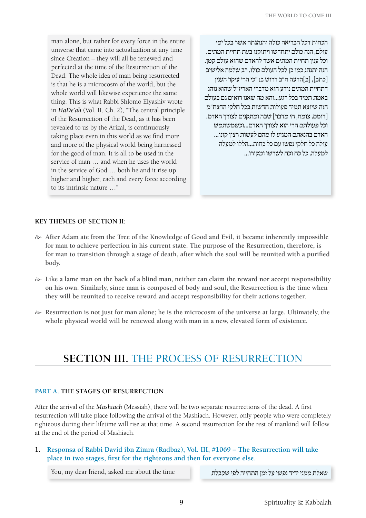man alone, but rather for every force in the entire universe that came into actualization at any time since Creation – they will all be renewed and perfected at the time of the Resurrection of the Dead. The whole idea of man being resurrected is that he is a microcosm of the world, but the whole world will likewise experience the same thing. This is what Rabbi Shlomo Elyashiv wrote in *HaDe'ah* (Vol. II, Ch. 2), "The central principle of the Resurrection of the Dead, as it has been revealed to us by the Arizal, is continuously taking place even in this world as we find more and more of the physical world being harnessed for the good of man. It is all to be used in the service of man … and when he uses the world in the service of God … both he and it rise up higher and higher, each and every force according to its intrinsic nature …"

הכחות דכל הבריאה כולה והנהגתה אשר בכל ימי עולם, הנה כולם יתחדשו ויתוקנו בעת תחיית המתים. וכל ענין תחיית המתים אשר להאדם שהוא עולם קטן. הנה יתנהג כמו כן לכל העולם כולו. רב שלמה אלישיב ]כתב[, ]ב[הדעה ח"ב דרוש ב: "כי הרי עיקר הענין דתחיית המתים נודע הוא מדברי האריז"ל שהוא נוהג באמת תמיד בכל רגע...והא מה שאנו רואים גם בעולם הזה שיוצא תמיד פעולות חדשות בכל חלקי הדצח"מ ]דומם, צומח, חי מדבר[ שבה ומתקנים לצורך האדם. וכל פעולתם הרי הוא לצורך האדם...וכשמשתמש האדם בהנאתם המגיע לו מהם לעשות רצון קונו... עולה כל חלקי נפשו עם כל כחות...הללו למעלה למעלה, כל כח וכח לשרשו ומקורו...

#### **Key Themes of Section II:**

- $\sim$  After Adam ate from the Tree of the Knowledge of Good and Evil, it became inherently impossible **for man to achieve perfection in his current state. The purpose of the Resurrection, therefore, is for man to transition through a stage of death, after which the soul will be reunited with a purified body.**
- $\approx$  Like a lame man on the back of a blind man, neither can claim the reward nor accept responsibility **on his own. Similarly, since man is composed of body and soul, the Resurrection is the time when they will be reunited to receive reward and accept responsibility for their actions together.**
- H **Resurrection is not just for man alone; he is the microcosm of the universe at large. Ultimately, the whole physical world will be renewed along with man in a new, elevated form of existence.**

## **Section III.** The Process of Resurrection

#### **Part A. The Stages of Resurrection**

After the arrival of the *Mashiach* (Messiah), there will be two separate resurrections of the dead. A first resurrection will take place following the arrival of the Mashiach. However, only people who were completely righteous during their lifetime will rise at that time. A second resurrection for the rest of mankind will follow at the end of the period of Mashiach.

**1. Responsa of Rabbi David ibn Zimra (Radbaz), Vol. III, #1069 – The Resurrection will take place in two stages, first for the righteous and then for everyone else.**

שאלת ממני ידיד נפשי על זמן התחייה לפי שקבלת time time לפי שקבלת the time לפי שקבלת לפי שקבלת לפי שקבלת א

**9** Spirituality & Kabbalah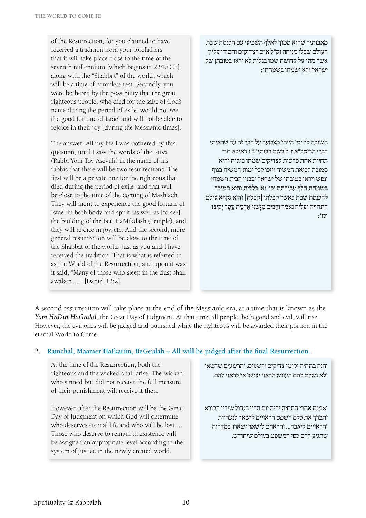of the Resurrection, for you claimed to have received a tradition from your forefathers that it will take place close to the time of the seventh millennium [which begins in 2240 CE], along with the "Shabbat" of the world, which will be a time of complete rest. Secondly, you were bothered by the possibility that the great righteous people, who died for the sake of God's name during the period of exile, would not see the good fortune of Israel and will not be able to rejoice in their joy [during the Messianic times].

The answer: All my life I was bothered by this question, until I saw the words of the Ritva (Rabbi Yom Tov Asevilli) in the name of his rabbis that there will be two resurrections. The first will be a private one for the righteous that died during the period of exile, and that will be close to the time of the coming of Mashiach. They will merit to experience the good fortune of Israel in both body and spirit, as well as [to see] the building of the Beit HaMikdash (Temple), and they will rejoice in joy, etc. And the second, more general resurrection will be close to the time of the Shabbat of the world, just as you and I have received the tradition. That is what is referred to as the World of the Resurrection, and upon it was it said, "Many of those who sleep in the dust shall awaken …" [Daniel 12:2].

מאבותיך שהוא סמוך לאלף השביעי עם הכנסת שבת העולם שכלו מנוחה וק"ל א"כ הצדיקים וחסידי עליון אשר מתו על קדושת שמו בגלות לא יראו בטובתן של ישראל ולא ישמחו בשמחתן:

תשובה כל ימי הייתי מצטער על דבר זה עד שראיתי דברי הריטב"א ז"ל בשם רבותיו נ"נ דאיכא תרי תחיות אחת פרטית לצדיקים שמתו בגלות והיא סמוכה לביאת המשיח ויזכו לכל ימות המשיח בגוף ונפש ויראו בטובתן של ישראל ובבנין הבית וישמחו בשמחת חלף עבודתם וכו' וא' כללית והיא סמוכה להכנסת שבת כאשר קבלתי [קבלת] והוא נקרא עולם התחייה ועליה נאמר וְרַבִּים מִיְשֵׁנֵי אַדְמַת עָפָר יָקִיצוּ וכו':

A second resurrection will take place at the end of the Messianic era, at a time that is known as the *Yom HaDin HaGadol*, the Great Day of Judgment. At that time, all people, both good and evil, will rise. However, the evil ones will be judged and punished while the righteous will be awarded their portion in the eternal World to Come.

#### **2. Ramchal, Maamer HaIkarim, BeGeulah – All will be judged after the final Resurrection.**

At the time of the Resurrection, both the righteous and the wicked shall arise. The wicked who sinned but did not receive the full measure of their punishment will receive it then.

However, after the Resurrection will be the Great Day of Judgment on which God will determine who deserves eternal life and who will be lost … Those who deserve to remain in existence will be assigned an appropriate level according to the system of justice in the newly created world.

והנה בתחיה יקומו צדיקים ורשעים, והרשעים שחטאו ולא נשלם בהם העונש הראוי יענשו אז כראוי להם.

ואמנם אחרי התחיה יהיה יום הדין הגדול שידין הבורא יתברך את כלם וישפט הראויים לישאר לנצחיות והראויים ליאבד... והראוים לישאר ישארו במדרגה שתגיע להם כפי המשפט בעולם שיחודש.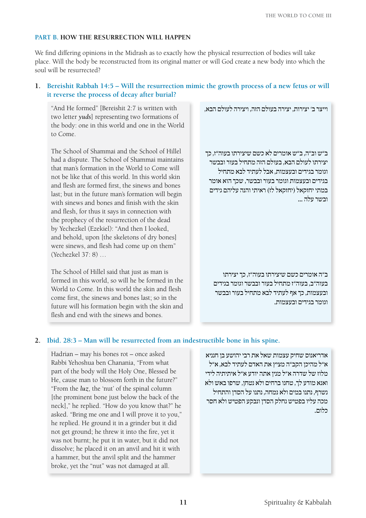#### **Part B. How the Resurrection will Happen**

We find differing opinions in the Midrash as to exactly how the physical resurrection of bodies will take place. Will the body be reconstructed from its original matter or will God create a new body into which the soul will be resurrected?

#### **1. Bereishit Rabbah 14:5 – Will the resurrection mimic the growth process of a new fetus or will it reverse the process of decay after burial?**

"And He formed" [Bereishit 2:7 is written with two letter *yuds*] representing two formations of the body: one in this world and one in the World to Come.

The School of Shammai and the School of Hillel had a dispute. The School of Shammai maintains that man's formation in the World to Come will not be like that of this world. In this world skin and flesh are formed first, the sinews and bones last; but in the future man's formation will begin with sinews and bones and finish with the skin and flesh, for thus it says in connection with the prophecy of the resurrection of the dead by Yechezkel (Ezekiel): "And then I looked, and behold, upon [the skeletons of dry bones] were sinews, and flesh had come up on them" (Yechezkel 37: 8) …

The School of Hillel said that just as man is formed in this world, so will he be formed in the World to Come. In this world the skin and flesh come first, the sinews and bones last; so in the future will his formation begin with the skin and flesh and end with the sinews and bones.

וייצר ב' יצירות, יצירה בעולם הזה, ויצירה לעולם הבא,

ב"ש וב"ה, ב"ש אומרים לא כשם שיצירתו בעוה"ז, כך יצירתו לעולם הבא, בעולם הזה מתחיל בעור ובבשר וגומר בגידים ובעצמות, אבל לעתיד לבא מתחיל בגידים ובעצמות וגומר בעור ובבשר, שכך הוא אומר במתי יחזקאל (יחזקאל לז) ראיתי והנה עליהם גידים ובשר עלה ...

ב"ה אומרים כשם שיצירתו בעוה"ז, כך יצירתו בעוה"ב, בעוה"ז מתחיל בעור ובבשר וגומר בגידים ובעצמות, כך אף לעתיד לבא מתחיל בעור ובבשר וגומר בגידים ובעצמות.

#### **2. Ibid. 28:3 – Man will be resurrected from an indestructible bone in his spine.**

Hadrian – may his bones rot – once asked Rabbi Yehoshua ben Chanania, "From what part of the body will the Holy One, Blessed be He, cause man to blossom forth in the future?" "From the *luz*, the 'nut' of the spinal column [the prominent bone just below the back of the neck]," he replied. "How do you know that?" he asked. "Bring me one and I will prove it to you," he replied. He ground it in a grinder but it did not get ground; he threw it into the fire, yet it was not burnt; he put it in water, but it did not dissolve; he placed it on an anvil and hit it with a hammer, but the anvil split and the hammer broke, yet the "nut" was not damaged at all.

אדריאנוס שחיק עצמות שאל את רבי יהושע בן חנניא א"ל מהיכן הקב"ה מציץ את האדם לעתיד לבא, א"ל מלוז של שדרה א"ל מנין אתה יודע א"ל איתיתיה לידי ואנא מודע לך, טחנו ברחים ולא נטחן, שרפו באש ולא נשרף, נתנו במים ולא נמחה, נתנו על הסדן והתחיל מכה עליו בפטיש נחלק הסדן ונבקע הפטיש ולא חסר כלום.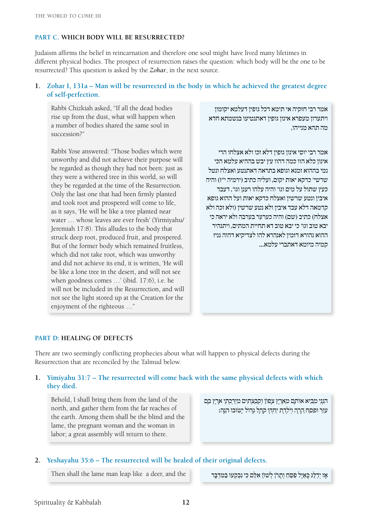#### **Part C. Which Body will be Resurrected?**

Judaism affirms the belief in reincarnation and therefore one soul might have lived many lifetimes in different physical bodies. The prospect of resurrection raises the question: which body will be the one to be resurrected? This question is asked by the *Zohar*, in the next source.

#### **1. Zohar I, 131a – Man will be resurrected in the body in which he achieved the greatest degree of self-perfection.**

Rabbi Chizkiah asked, "If all the dead bodies rise up from the dust, what will happen when a number of bodies shared the same soul in succession?"

Rabbi Yose answered: "Those bodies which were unworthy and did not achieve their purpose will be regarded as though they had not been: just as they were a withered tree in this world, so will they be regarded at the time of the Resurrection. Only the last one that had been firmly planted and took root and prospered will come to life, as it says, 'He will be like a tree planted near water … whose leaves are ever fresh' (Yirmiyahu/ Jeremiah 17:8). This alludes to the body that struck deep root, produced fruit, and prospered. But of the former body which remained fruitless, which did not take root, which was unworthy and did not achieve its end, it is written, 'He will be like a lone tree in the desert, and will not see when goodness comes …' (ibid. 17:6), i.e. he will not be included in the Resurrection, and will not see the light stored up at the Creation for the enjoyment of the righteous …"

אמר רבי חזקיה אי תימא דכל גופין דעלמא יקומון ויתערון מעפרא אינון גופין דאתנטיעו בנשמתא חדא מה תהא מנייהו,

אמר רבי יוסי אינון גופין דלא זכו ולא אצלחו הרי אינון כלא הוו כמה דהוו עץ יבש בההיא עלמא הכי נמי בההוא זמנא וגופא בתראה דאתנטע ואצלח ונטל שרשי' כדקא יאות יקום, ועליה כתיב )ירמיה י"ז( והיה כעץ שתול על מים וגו' והיה עלהו רענן וגו', דעבד איבין ונטע שרשין ואצלח כדקא יאות ועל ההוא גופא קדמאה דלא עבד איבין ולא נטע שרשין )ולא זכה ולא אצלח) כתיב (שם) והיה כערער בערבה ולא יראה כי יבא טוב וגו' כי יבא טוב דא תחיית המתים, ויתנהיר ההוא נהורא דזמין לאנהרא להו לצדיקיא דהוה גניז קמיה מיומא דאתברי עלמא...

#### **Part D: Healing of Defects**

There are two seemingly conflicting prophecies about what will happen to physical defects during the Resurrection that are reconciled by the Talmud below.

#### **1. Yimiyahu 31:7 – The resurrected will come back with the same physical defects with which they died.**

Behold, I shall bring them from the land of the north, and gather them from the far reaches of the earth. Among them shall be the blind and the lame, the pregnant woman and the woman in labor; a great assembly will return to there.

הִנְנִי מֵבִיא אוֹתָם מֵאֶרֶץ צָפוֹן וְקִבַּצְתִּים מִיַּרְ ְּכתֵי אָרֶץ בָּם עוֵּר וּפִסָּח הַרְה וְיֹלֶדֶת יַחְדַן קַהָל גָדוֹל יַשׂוּבו ּהְנֵה:

#### **2. Yeshayahu 35:6 – The resurrected will be healed of their original defects.**

אָז יִדַלֵּג כָּאַיַל פִּפֵּחַ וִתָרֹן לְשׁוֹן אָלֶם כִּי נִבְקְעוּ בַמְּדִבָּר shen shall the lame man leap like a deer, and the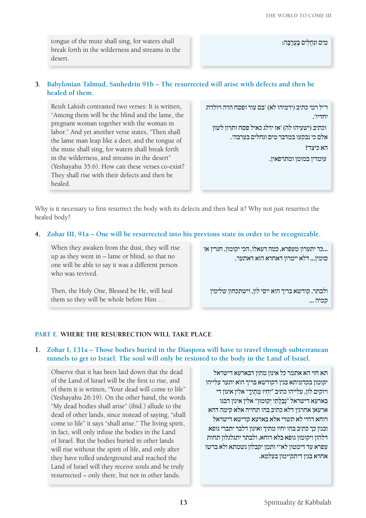tongue of the mute shall sing, for waters shall break forth in the wilderness and streams in the desert.

מַיִם וּנְחַלִים בַּעֲרָבָה:

#### **3. Babylonian Talmud, Sanhedrin 91b – The resurrected will arise with defects and then be healed of them.**

Reish Lakish contrasted two verses: It is written, "Among them will be the blind and the lame, the pregnant woman together with the woman in labor." And yet another verse states, "Then shall the lame man leap like a deer, and the tongue of the mute shall sing, for waters shall break forth in the wilderness, and streams in the desert" (Yeshayahu 35:6). How can these verses co-exist? They shall rise with their defects and then be healed.

ר"ל רמי כתיב )ירמיהו לא( 'בם עור ופסח הרה ויולדת יחדיו'. וכתיב )ישעיהו לה( 'אז ידלג כאיל פסח ותרון לשון אלם כי נבקעו במדבר מים ונחלים בערבה'. הא כיצד? עומדין במומן ומתרפאין.

Why is it necessary to first resurrect the body with its defects and then heal it? Why not just resurrect the healed body?

**4. Zohar III, 91a – One will be resurrected into his previous state in order to be recognizable.** 

When they awaken from the dust, they will rise up as they went in – lame or blind, so that no one will be able to say it was a different person who was revived.

...כד יתערון מעפרא, כמה דעאלו, הכי יקומון, חגרין או סומין... דלא יימרון דאחרא הוא דאתער.

Then, the Holy One, Blessed be He, will heal them so they will be whole before Him …

ולבתר, קודשא בריך הוא ייסי לון, וישתכחון שלימין קמיה ...

#### **Part E. Where the Resurrection Will Take Place**

#### **1. Zohar I, 131a – Those bodies buried in the Diaspora will have to travel through subterranean tunnels to get to Israel. The soul will only be restored to the body in the Land of Israel.**

Observe that it has been laid down that the dead of the Land of Israel will be the first to rise, and of them it is written, "Your dead will come to life" (Yeshayahu 26:19). On the other hand, the words "My dead bodies shall arise" (ibid.) allude to the dead of other lands, since instead of saying, "shall come to life" it says "shall arise." The living spirit, in fact, will only infuse the bodies in the Land of Israel. But the bodies buried in other lands will rise without the spirit of life, and only after they have rolled underground and reached the Land of Israel will they receive souls and be truly resurrected – only there, but not in other lands.

תא חזי הא אתמר כל אינון מתין דבארעא דישראל יקומון בקדמיתא בגין דקודשא בריך הוא יתער עלייהו ויוקים לון, עלייהו כתיב "יִחְיוּ מֵתֶיךָ" אלין אינון די בארעא דישראל "נְבֵלָתִי יִקוּמוּן" אלין אינון דבגו ארעאן אחרנין דלא כתיב בהו תחייה אלא קימה דהא רוחא דחיי לא תשרי אלא בארעא קדישא דישראל ובגין כך כתיב בהו יחיו מתיך ואינון דלבר יתברי גופא דלהון ויקומון גופא בלא רוחא, ולבתר יתגלגלון תחות עפרא עד דימטון לא"י ותמן יקבלון נשמתא ולא ברשו אחרא בגין דיתקיימון בעלמא.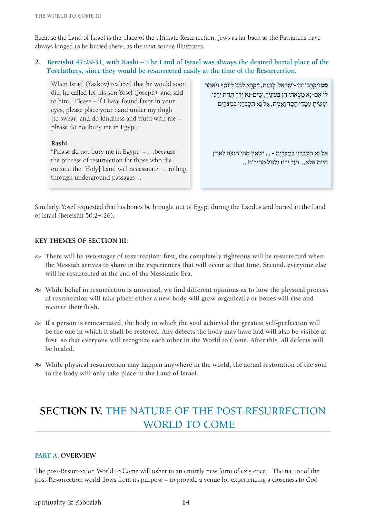Because the Land of Israel is the place of the ultimate Resurrection, Jews as far back as the Patriarchs have always longed to be buried there, as the next source illustrates.

**2. Bereishit 47:29-31, with Rashi – The Land of Israel was always the desired burial place of the Forefathers, since they would be resurrected easily at the time of the Resurrection.**

When Israel (Yaakov) realized that he would soon die, he called for his son Yosef (Joseph), and said to him, "Please – if I have found favor in your eyes, please place your hand under my thigh [to swear] and do kindness and truth with me – please do not bury me in Egypt."

#### **Rashi**

"Please do not bury me in Egypt" – …because the process of resurrection for those who die outside the [Holy] Land will necessitate … rolling through underground passages…

כט וַיִּקְרְבוּ יִמֵי-יִשְׂרְאֵל, לְמֵוּת, וַיִּקְרָא לְבְנוֹ לְיוֹסֵף וַיֹּאמֵר לוֹ אִם-נָא מַצַאתִי חַן בִּעִינִיך, שִׂים-נָא יִדְךָ תִּחַת יִרְכִי; וְ עָשִׂיתָ עִמָּדִי חֶסֶד וֶאֱמֶת, אַל נָא תִקְבְּרֵנִי בְּמִצְרָיִם אַל נָא תִקְבְּרְנִי בְּמֵצְרִים - ... ושְאִין מֵתִי חוצה לְאַרִץ חיים אלא... (על ידי) גלגול מחילות...

Similarly, Yosef requested that his bones be brought out of Egypt during the Exodus and buried in the Land of Israel (Bereishit 50:24-26).

#### **Key Themes of Section III:**

- $\gg$  There will be two stages of resurrection: first, the completely righteous will be resurrected when **the Messiah arrives to share in the experiences that will occur at that time. Second, everyone else will be resurrected at the end of the Messianic Era.**
- $\gg$  While belief in resurrection is universal, we find different opinions as to how the physical process **of resurrection will take place: either a new body will grow organically or bones will rise and recover their flesh.**
- H **If a person is reincarnated, the body in which the soul achieved the greatest self-perfection will be the one in which it shall be restored. Any defects the body may have had will also be visible at first, so that everyone will recognize each other in the World to Come. After this, all defects will be healed.**
- $\gg$  While physical resurrection may happen anywhere in the world, the actual restoration of the soul **to the body will only take place in the Land of Israel.**

## **Section IV.** The Nature of the Post-Resurrection WORLD TO COME

#### **Part A. Overview**

The post-Resurrection World to Come will usher in an entirely new form of existence. The nature of the post-Resurrection world flows from its purpose – to provide a venue for experiencing a closeness to God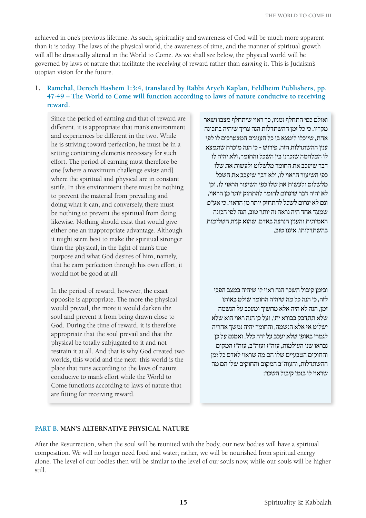achieved in one's previous lifetime. As such, spirituality and awareness of God will be much more apparent than it is today. The laws of the physical world, the awareness of time, and the manner of spiritual growth will all be drastically altered in the World to Come. As we shall see below, the physical world will be governed by laws of nature that facilitate the *receiving* of reward rather than *earning* it. This is Judaism's utopian vision for the future.

#### **1. Ramchal, Derech Hashem 1:3:4, translated by Rabbi Aryeh Kaplan, Feldheim Publishers, pp. 47-49 – The World to Come will function according to laws of nature conducive to receiving reward.**

Since the period of earning and that of reward are different, it is appropriate that man's environment and experiences be different in the two. While he is striving toward perfection, he must be in a setting containing elements necessary for such effort. The period of earning must therefore be one [where a maximum challenge exists and] where the spiritual and physical are in constant strife. In this environment there must be nothing to prevent the material from prevailing and doing what it can, and conversely, there must be nothing to prevent the spiritual from doing likewise. Nothing should exist that would give either one an inappropriate advantage. Although it might seem best to make the spiritual stronger than the physical, in the light of man's true purpose and what God desires of him, namely, that he earn perfection through his own effort, it would not be good at all.

In the period of reward, however, the exact opposite is appropriate. The more the physical would prevail, the more it would darken the soul and prevent it from being drawn close to God. During the time of reward, it is therefore appropriate that the soul prevail and that the physical be totally subjugated to it and not restrain it at all. And that is why God created two worlds, this world and the next: this world is the place that runs according to the laws of nature conducive to man's effort while the World to Come functions according to laws of nature that are fitting for receiving reward.

ואולם כפי התחלף זמניו, כך ראוי שיתחלף מצבו ושאר מקריו. כי כל זמן ההשתדלות הנה צריך שיהיה בתכונה אחת, שיוכלו לימצא בו כל הענינים המצטרכים לו לפי ענין ההשתדלות הזה. פירוש - כי הנה מוכרח שתמצא לו המלחמה שזכרנו בין השכל והחומר, ולא יהיה לו דבר שיעכב את החומר מלשלוט ולעשות את שלו כפי השיעור הראוי לו, ולא דבר שיעכב את השכל מלשלוט ולעשות את שלו כפי השיעור הראוי לו. וכן לא יהיה דבר שיגרום לחומר להתחזק יותר מן הראוי, וגם לא יגרום לשכל להתחזק יותר מן הראוי. כי אע"פ שמצד אחד היה נראה זה יותר טוב, הנה לפי הכונה האמיתית והענין הנרצה באדם, שהוא קנית השלימות בהשתדלותו, איננו טוב.

ובזמן קיבול השכר הנה ראוי לו שיהיה במצב הפכי לזה, כי הנה כל מה שיהיה החומר שולט באותו זמן, הנה לא היה אלא מחשיך ומעכב על הנשמה שלא תתדבק בבורא ית', ועל כן הנה ראוי הוא שלא ישלוט אז אלא הנשמה, והחומר יהיה נמשך אחריה לגמרי באופן שלא יעכב על ידה כלל. ואמנם על כן נבראו שני העולמות, עוה"ז ועוה"ב, עוה"ז המקום והחוקים הטבעיים שלו הם מה שראוי לאדם כל זמן ההשתדלות, והעוה"ב המקום והחוקים שלו הם מה שראוי לו בזמן קיבול השכר:

#### **Part B. Man's Alternative Physical Nature**

After the Resurrection, when the soul will be reunited with the body, our new bodies will have a spiritual composition. We will no longer need food and water; rather, we will be nourished from spiritual energy alone. The level of our bodies then will be similar to the level of our souls now, while our souls will be higher still.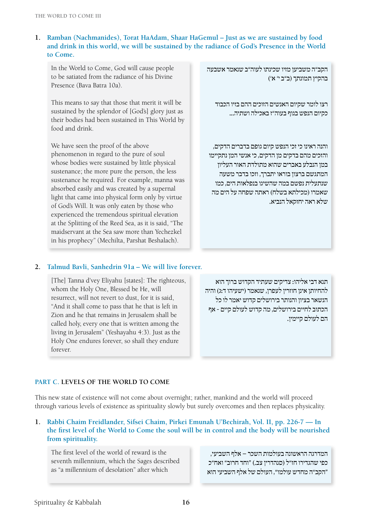#### **1. Ramban (Nachmanides), Torat HaAdam, Shaar HaGemul – Just as we are sustained by food and drink in this world, we will be sustained by the radiance of God's Presence in the World to Come.**

In the World to Come, God will cause people to be satiated from the radiance of his Divine Presence (Bava Batra 10a).

This means to say that those that merit it will be sustained by the splendor of [God's] glory just as their bodies had been sustained in This World by food and drink.

We have seen the proof of the above phenomenon in regard to the pure of soul whose bodies were sustained by little physical sustenance; the more pure the person, the less sustenance he required. For example, manna was absorbed easily and was created by a supernal light that came into physical form only by virtue of God's Will. It was only eaten by those who experienced the tremendous spiritual elevation at the Splitting of the Reed Sea, as it is said, "The maidservant at the Sea saw more than Yechezkel in his prophecy" (Mechilta, Parshat Beshalach).

הקב"ה משביען מזיו שכינתו לעוה"ב שנאמר אשבעה בהקיץ תמונתך )ב"ב י' א'(

רצו לומר שקיום האנשים הזוכים ההם בזיו הכבוד כקיום הנפש בגוף בעוה"ז באכילה ושתיה...

והנה ראינו כי זכי הנפש קיום גופם בדברים הדקים, והזכים מהם בדקים מן הדקים, כי אנשי המן נתקיימו במן הנבלע באברים שהוא מתולדת האור העליון המתגשם ברצון בוראו יתברך, וזכו בדבר משעה שנתעלית נפשם במה שהשיגו בנפלאות הים, כמו שאמרו (מכילתא בשלח) ראתה שפחה על הים מה שלא ראה יחזקאל הנביא.

#### **2. Talmud Bavli, Sanhedrin 91a – We will live forever.**

[The] Tanna d'vey Eliyahu [states]: The righteous, whom the Holy One, Blessed be He, will resurrect, will not revert to dust, for it is said, "And it shall come to pass that he that is left in Zion and he that remains in Jerusalem shall be called holy, every one that is written among the living in Jerusalem" (Yeshayahu 4:3). Just as the Holy One endures forever, so shall they endure forever.

תנא דבי אליהו: צדיקים שעתיד הקדוש ברוך הוא להחיותן אינן חוזרין לעפרן, שנאמר )ישעיהו ד:ג( והיה הנשאר בציון והנותר בירושלים קדוש יאמר לו כל הכתוב לחיים בירושלים, מה קדוש לעולם קיים - אף הם לעולם קיימין.

#### **Part C. Levels of the World to Come**

This new state of existence will not come about overnight; rather, mankind and the world will proceed through various levels of existence as spirituality slowly but surely overcomes and then replaces physicality.

#### **1. Rabbi Chaim Freidlander, Sifsei Chaim, Pirkei Emunah U'Bechirah, Vol. II, pp. 226-7 — In the first level of the World to Come the soul will be in control and the body will be nourished from spirituality.**

The first level of the world of reward is the seventh millennium, which the Sages described as "a millennium of desolation" after which

המדרגה הראשונה בעולמות השכר – אלף השביעי, כפי שהגדירו חז"ל )סנהדרין צב.( "וחד חרוב" ואח"כ "הקב"ה מחדש עולמו", העולם של אלף השביעי הוא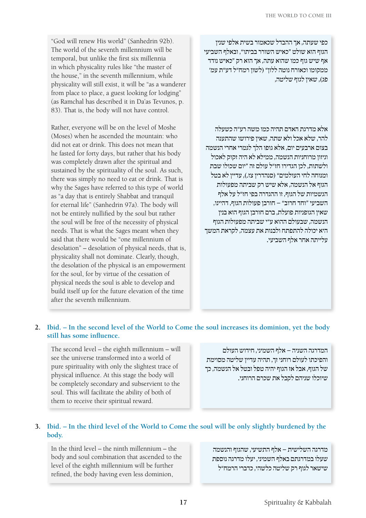פג), שאיו לגוף שליטה.

"God will renew His world" (Sanhedrin 92b). The world of the seventh millennium will be temporal, but unlike the first six millennia in which physicality rules like "the master of the house," in the seventh millennium, while physicality will still exist, it will be "as a wanderer from place to place, a guest looking for lodging" כפי שעתה, אך ההבדל שכאמור בשית אלפי שנין הגוף הוא שולט "כאיש השורר בביתו", ובאלף השביעי אף שיש גוף כמו שהוא עתה, אך הוא רק "כאיש נודד ממקומו וכאורח נוטה ללון" )לשון רמח"ל דע"ת עמ'

Rather, everyone will be on the level of Moshe (Moses) when he ascended the mountain: who did not eat or drink. This does not mean that he fasted for forty days, but rather that his body was completely drawn after the spiritual and sustained by the spirituality of the soul. As such, there was simply no need to eat or drink. That is why the Sages have referred to this type of world as "a day that is entirely Shabbat and tranquil for eternal life" (Sanhedrin 97a). The body will not be entirely nullified by the soul but rather the soul will be free of the necessity of physical needs. That is what the Sages meant when they said that there would be "one millennium of desolation" – desolation of physical needs, that is, physicality shall not dominate. Clearly, though, the desolation of the physical is an empowerment for the soul, for by virtue of the cessation of physical needs the soul is able to develop and build itself up for the future elevation of the time after the seventh millennium.

(as Ramchal has described it in Da'as Tevunos, p. 83). That is, the body will not have control.

> אלא מדרגת האדם תהיה כמו משה רע"ה כשעלה להר, שלא אכל ולא שתה, שאין פירושו שהתענה בצום ארבעים יום, אלא גופו הלך לגמרי אחרי הנשמה וניזון מרוחניות הנשמה, ממילא לא היה זקוק לאכול ולשתות, לכן הגדירו חז"ל עולם זה "יום שכולו שבת ומנוחה לחי העולמים" )סנהדרין צז.(, עדיין לא בטל הגוף אל הנשמה, אלא שיש רק שביתה מפעולות הגשמיות של הגוף, זו ההגדרה בפי חז"ל על אלף השביעי "וחד חרוב" – חורבן פעולות הגוף, דהיינו, שאין הגופניות פועלת, ברם חורבן הגוף הוא בנין הנשמה, שבעולם ההוא ע"י שביתה מפעולות הגוף היא יכולה להתפתח ולבנות את עצמה, לקראת המשך עלייתה אחר אלף השביעי.

#### **2. Ibid. – In the second level of the World to Come the soul increases its dominion, yet the body still has some influence.**

The second level – the eighth millennium – will see the universe transformed into a world of pure spirituality with only the slightest trace of physical influence. At this stage the body will be completely secondary and subservient to the soul. This will facilitate the ability of both of them to receive their spiritual reward.

המדרגה השניה – אלף השמיני, חידוש העולם והפיכתו לעולם רוחני זך, תהיה עדיין שליטה מסוימת של הגוף, אבל אז הגוף יהיה טפל ובטל אל הנשמה, כך שיוכלו שניהם לקבל את שכרם הרוחני.

#### **3. Ibid. – In the third level of the World to Come the soul will be only slightly burdened by the body.**

In the third level – the ninth millennium – the body and soul combination that ascended to the level of the eighth millennium will be further refined, the body having even less dominion,

מדרגה השלישית – אלף התשיעי, שהגוף והנשמה שעלו במדרגתם באלף השמיני, יעלו מדרגה נוספת שישאר לגוף רק שליטה כלשהי, כדברי הרמח"ל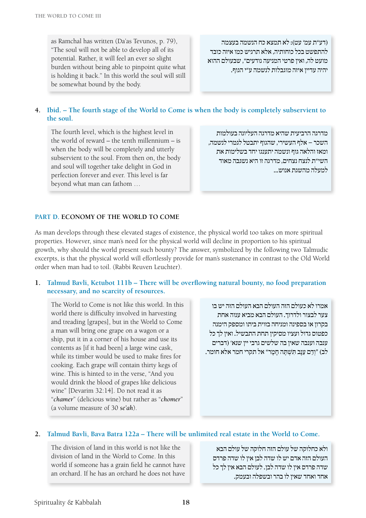as Ramchal has written (Da'as Tevunos, p. 79), "The soul will not be able to develop all of its potential. Rather, it will feel an ever so slight burden without being able to pinpoint quite what is holding it back." In this world the soul will still be somewhat bound by the body.

)דע"ת עמ' עט(: לא תמצא כח הנשמה בעצמה להתפשט בכל כוחותיה, אלא תרגיש כמו איזה כובד מועט לה, ואין פרטי המניעה נודעים", שבעולם ההוא יהיה עדיין איזה מוגבלות לנשמה ע"י הגוף.

#### **4. Ibid. – The fourth stage of the World to Come is when the body is completely subservient to the soul.**

The fourth level, which is the highest level in the world of reward – the tenth millennium – is when the body will be completely and utterly subservient to the soul. From then on, the body and soul will together take delight in God in perfection forever and ever. This level is far beyond what man can fathom …

מדרגה הרביעית שהיא מדרגה העליונה בעולמות השכר – אלף העשירי, שהגוף יתבטל לגמרי לנשמה, ומאז והלאה גוף ונשמה יתענגו יחד בשלימות את השי"ת לנצח נצחים, מדרגה זו היא נשגבה מאוד למעלה מהשגת אנוש...

#### **Part D. Economy of the World to Come**

As man develops through these elevated stages of existence, the physical world too takes on more spiritual properties. However, since man's need for the physical world will decline in proportion to his spiritual growth, why should the world present such bounty? The answer, symbolized by the following two Talmudic excerpts, is that the physical world will effortlessly provide for man's sustenance in contrast to the Old World order when man had to toil. (Rabbi Reuven Leuchter).

#### **1. Talmud Bavli, Ketubot 111b – There will be overflowing natural bounty, no food preparation necessary, and no scarcity of resources.**

The World to Come is not like this world. In this world there is difficulty involved in harvesting and treading [grapes], but in the World to Come a man will bring one grape on a wagon or a ship, put it in a corner of his house and use its contents as [if it had been] a large wine cask, while its timber would be used to make fires for cooking. Each grape will contain thirty kegs of wine. This is hinted to in the verse, "And you would drink the blood of grapes like delicious wine" [Devarim 32:14]. Do not read it as "*chamer*" (delicious wine) but rather as "*chomer*" (a volume measure of 30 *se'ah*).

אמרו לא כעולם הזה העולם הבא העולם הזה יש בו צער לבצור ולדרוך. העולם הבא מביא ענוה אחת בקרון או בספינה ומניחה בזוית ביתו ומספק הימנה כפטוס גדול ועציו מסיקין תחת התבשיל. ואין לך כל ענבה וענבה שאין בה שלשים גרבי יין שנא' )דברים לב) "וְדַם עֵנָב תִּשְׁתֶּה חָמֶר" אל תקרי חמר אלא חומר.

#### **2. Talmud Bavli, Bava Batra 122a – There will be unlimited real estate in the World to Come.**

The division of land in this world is not like the division of land in the World to Come. In this world if someone has a grain field he cannot have an orchard. If he has an orchard he does not have

ולא כחלוקה של עולם הזה חלוקה של עולם הבא העולם הזה אדם יש לו שדה לבן אין לו שדה פרדס שדה פרדס אין לו שדה לבן. לעולם הבא אין לך כל אחד ואחד שאין לו בהר ובשפלה ובעמק.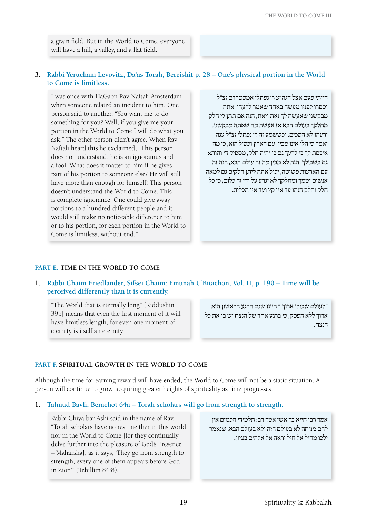a grain field. But in the World to Come, everyone will have a hill, a valley, and a flat field.

#### **3. Rabbi Yerucham Levovitz, Da'as Torah, Bereishit p. 28 – One's physical portion in the World to Come is limitless.**

I was once with HaGaon Rav Naftali Amsterdam when someone related an incident to him. One person said to another, "You want me to do something for you? Well, if you give me your portion in the World to Come I will do what you ask." The other person didn't agree. When Rav Naftali heard this he exclaimed, "This person does not understand; he is an ignoramus and a fool. What does it matter to him if he gives part of his portion to someone else? He will still have more than enough for himself! This person doesn't understand the World to Come. This is complete ignorance. One could give away portions to a hundred different people and it would still make no noticeable difference to him or to his portion, for each portion in the World to Come is limitless, without end."

הייתי פעם אצל הגה"צ ר' נפתלי אמסטרדם זצ"ל וספרו לפניו מעשה באחד שאמר לרעהו, אתה מבקשני שאעשה לך זאת וזאת, הנה אם תתן לי חלק מחלקך בעולם הבא אז אעשה מה שאתה מבקשני, ורעהו לא הסכים. וכששמע זה ר' נפתלי זצ"ל ענה ואמר כי הלו אינו מבין, עם הארץ וכסיל הוא, כי מה איכפת לך כי לרעך גם כן יהיה חלק, מספיק די והותא גם בשבילך, הנה לא מבין מה זה עולם הבא, הנה זה עם הארצות פשוטה, יכול אתה ליתן חלקים גם למאה אנשים וממך ומחלקך לא יגרע על ידי זה כלום, כי כל חלק וחלק הנהו עד אין קץ ועד אין תכלית.

#### **Part E. Time in the World to Come**

**1. Rabbi Chaim Friedlander, Sifsei Chaim: Emunah U'Bitachon, Vol. II, p. 190 – Time will be perceived differently than it is currently.**

"The World that is eternally long" [Kiddushin 39b] means that even the first moment of it will have limitless length, for even one moment of eternity is itself an eternity.

"לעולם שכולו ארוך," היינו שגם הרגע הראשון הוא ארוך ללא הפסק, כי ברגע אחד של הנצח יש בו את כל הנצח.

#### **Part F. Spiritual Growth in the World to Come**

Although the time for earning reward will have ended, the World to Come will not be a static situation. A person will continue to grow, acquiring greater heights of spirituality as time progresses.

#### **1. Talmud Bavli, Berachot 64a – Torah scholars will go from strength to strength.**

Rabbi Chiya bar Ashi said in the name of Rav, "Torah scholars have no rest, neither in this world nor in the World to Come [for they continually delve further into the pleasure of God's Presence – Maharsha], as it says, 'They go from strength to strength, every one of them appears before God in Zion'" (Tehillim 84:8).

אמר רבי חייא בר אשי אמר רב: תלמידי חכמים אין להם מנוחה לא בעולם הזה ולא בעולם הבא, שנאמר ילכו מחיל אל חיל יראה אל אלהים בציון.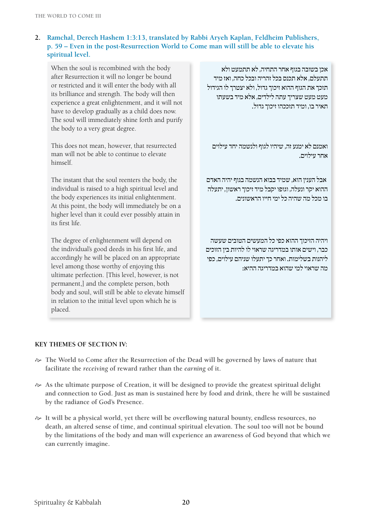#### **2. Ramchal, Derech Hashem 1:3:13, translated by Rabbi Aryeh Kaplan, Feldheim Publishers, p. 59 – Even in the post-Resurrection World to Come man will still be able to elevate his spiritual level.**

When the soul is recombined with the body after Resurrection it will no longer be bound or restricted and it will enter the body with all its brilliance and strength. The body will then experience a great enlightenment, and it will not have to develop gradually as a child does now. The soul will immediately shine forth and purify the body to a very great degree.

This does not mean, however, that resurrected man will not be able to continue to elevate himself.

The instant that the soul reenters the body, the individual is raised to a high spiritual level and the body experiences its initial enlightenment. At this point, the body will immediately be on a higher level than it could ever possibly attain in its first life.

The degree of enlightenment will depend on the individual's good deeds in his first life, and accordingly he will be placed on an appropriate level among those worthy of enjoying this ultimate perfection. [This level, however, is not permanent,] and the complete person, both body and soul, will still be able to elevate himself in relation to the initial level upon which he is placed.

אכן בשובה בגוף אחר התחיה, לא תתמעט ולא תתעלם, אלא תכנס בכל זהריה ובכל כחה, ואז מיד תזכך את הגוף ההוא זיכוך גדול, ולא יצטרך לו הגידול מעט מעט שצריך עתה לילדים, אלא מיד בשעתו תאיר בו, ומיד תזככהו זיכוך גדול.

ואמנם לא ימנע זה, שיהיו לגוף ולנשמה יחד עילוים אחר עילוים.

 אבל הענין הוא, שמיד בבוא הנשמה בגוף יהיה האדם ההוא יקר ונעלה, וגופו יקבל מיד זיכוך ראשון, יתעלה בו מכל מה שהיה כל ימי חייו הראשונים.

ויהיה הזיכוך ההוא כפי כל המעשים הטובים שעשה כבר, וישים אותו במדריגה שראוי לו להיות בין הזוכים ליהנות בשלימות. ואחר כך יתעלו שניהם עילוים, כפי מה שראוי למי שהוא במדריגה ההיא:

#### **Key Themes of Section IV:**

- $\approx$  The World to Come after the Resurrection of the Dead will be governed by laws of nature that **facilitate the** *receiving* **of reward rather than the** *earning* **of it.**
- $\gg$  As the ultimate purpose of Creation, it will be designed to provide the greatest spiritual delight **and connection to God. Just as man is sustained here by food and drink, there he will be sustained by the radiance of God's Presence.**
- H **It will be a physical world, yet there will be overflowing natural bounty, endless resources, no death, an altered sense of time, and continual spiritual elevation. The soul too will not be bound by the limitations of the body and man will experience an awareness of God beyond that which we can currently imagine.**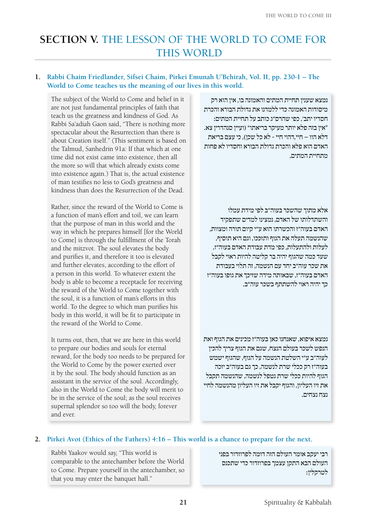## **SECTION V. THE LESSON OF THE WORLD TO COME FOR** THIS WORLD

#### **1. Rabbi Chaim Friedlander, Sifsei Chaim, Pirkei Emunah U'Bchirah, Vol. II, pp. 230-1 – The World to Come teaches us the meaning of our lives in this world.**

The subject of the World to Come and belief in it are not just fundamental principles of faith that teach us the greatness and kindness of God. As Rabbi Sa'adiah Gaon said, "There is nothing more spectacular about the Resurrection than there is about Creation itself." (This sentiment is based on the Talmud, Sanhedrin 91a: If that which at one time did not exist came into existence, then all the more so will that which already exists come into existence again.) That is, the actual existence of man testifies no less to God's greatness and kindness than does the Resurrection of the Dead.

Rather, since the reward of the World to Come is a function of man's effort and toil, we can learn that the purpose of man in this world and the way in which he prepares himself [for the World to Come] is through the fulfillment of the Torah and the mitzvot. The soul elevates the body and purifies it, and therefore it too is elevated and further elevates, according to the effort of a person in this world. To whatever extent the body is able to become a receptacle for receiving the reward of the World to Come together with the soul, it is a function of man's efforts in this world. To the degree to which man purifies his body in this world, it will be fit to participate in the reward of the World to Come.

It turns out, then, that we are here in this world to prepare our bodies and souls for eternal reward, for the body too needs to be prepared for the World to Come by the power exerted over it by the soul. The body should function as an assistant in the service of the soul. Accordingly, also in the World to Come the body will merit to be in the service of the soul; as the soul receives supernal splendor so too will the body, forever and ever.

נמצא שענין תחיית המתים והאמונה בו, אין הוא רק מיסודות האמונה כדי ללמדנו את גדולת הבורא והכרת חסדיו יתב', כפי שהרס"ג כותב על תחיית המתים: "אין בזה פלא יותר מעיקר בריאתו" )ועיין סנהדרין צא. דלא הוו – חיי,דהוי חיי - לא כל שכן(, כי עצם בריאת האדם הוא פלא והכרת גדולת הבורא וחסדיו לא פחות מתחיית המתים,

אלא מתוך שהשכר בעוה"ב לפי מידת עמלו והשתדלותו של האדם, נמצינו למדים שתפקיד האדם בעוה"ז והכשרתו הוא ע"י קיום תורה ומצוות, שהנשמה תעלה את הגוף ותזככו, וגם היא תוסיף, לעלות ולהתעלות, כפי מדת עבודת האדם בעוה"ז, שעד כמה שהגוף יהיה בר קליטה להיות ראוי לקבל את שכר עוה"ב יחד עם הנשמה, זה תלוי בעבודת האדם בעוה"ז, שבאותה מידה שזיכך את גופו בעוה"ז כך יהיה ראוי להשתתף בשכר עוה"ב.

נמצא איפוא, שאנחנו כאן בעוה"ז מכינים את הגוף ואת הנפש לשכר בעולם הנצח, שגם את הגוף צריך להכין לעוה"ב ע"י השלטת הנשמה על הגוף, שהגוף ישמש בעוה"ז רק ככלי שרת לנשמה, כך גם בעוה"ב יזכה הגוף להיות ככלי שרת נטפל לנשמה, שהנשמה תקבל את זיו העליון, והגוף יקבל את זיו העליון מהנשמה לחיי נצח נצחים.

#### **2. Pirkei Avot (Ethics of the Fathers) 4:16 – This world is a chance to prepare for the next.**

Rabbi Yaakov would say, "This world is comparable to the antechamber before the World to Come. Prepare yourself in the antechamber, so that you may enter the banquet hall."

רבי יעקב אומר העולם הזה דומה לפרוזדור בפני העולם הבא התקן עצמך בפרוזדור כדי שתכנס לטרקלין: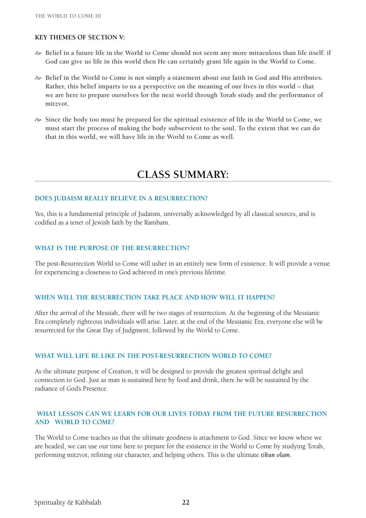#### **Key Themes of Section V:**

- $\approx$  **Belief in a future life in the World to Come should not seem any more miraculous than life itself: if God can give us life in this world then He can certainly grant life again in the World to Come.**
- $\gg$  Belief in the World to Come is not simply a statement about our faith in God and His attributes. **Rather, this belief imparts to us a perspective on the meaning of our lives in this world – that we are here to prepare ourselves for the next world through Torah study and the performance of mitzvot.**
- $\approx$  Since the body too must be prepared for the spiritual existence of life in the World to Come, we **must start the process of making the body subservient to the soul. To the extent that we can do that in this world, we will have life in the World to Come as well.**

## **Class Summary:**

#### **Does Judaism really believe in a resurrection?**

Yes, this is a fundamental principle of Judaism, universally acknowledged by all classical sources, and is codified as a tenet of Jewish faith by the Rambam.

#### **What is the purpose of the Resurrection?**

The post-Resurrection World to Come will usher in an entirely new form of existence. It will provide a venue for experiencing a closeness to God achieved in one's previous lifetime.

#### **When will the Resurrection take place and how will it happen?**

After the arrival of the Messiah, there will be two stages of resurrection. At the beginning of the Messianic Era completely righteous individuals will arise. Later, at the end of the Messianic Era, everyone else will be resurrected for the Great Day of Judgment, followed by the World to Come.

#### **What will life be like in the post-Resurrection World to Come?**

As the ultimate purpose of Creation, it will be designed to provide the greatest spiritual delight and connection to God. Just as man is sustained here by food and drink, there he will be sustained by the radiance of God's Presence.

#### **What lesson can we learn for our lives today from the future Resurrection AND WORLD TO COME?**

The World to Come teaches us that the ultimate goodness is attachment to God. Since we know where we are headed, we can use our time here to prepare for the existence in the World to Come by studying Torah, performing mitzvot, refining our character, and helping others. This is the ultimate *tikun olam*.